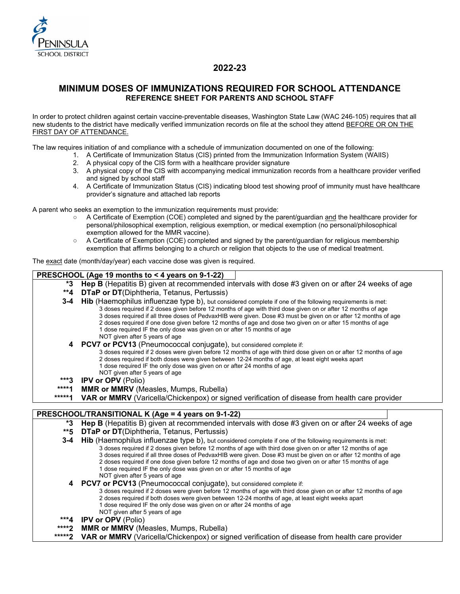

# **2022-23**

# **MINIMUM DOSES OF IMMUNIZATIONS REQUIRED FOR SCHOOL ATTENDANCE REFERENCE SHEET FOR PARENTS AND SCHOOL STAFF**

In order to protect children against certain vaccine-preventable diseases, Washington State Law (WAC 246-105) requires that all new students to the district have medically verified immunization records on file at the school they attend BEFORE OR ON THE FIRST DAY OF ATTENDANCE.

The law requires initiation of and compliance with a schedule of immunization documented on one of the following:

- 1. A Certificate of Immunization Status (CIS) printed from the Immunization Information System (WAIIS)
	- 2. A physical copy of the CIS form with a healthcare provider signature
	- 3. A physical copy of the CIS with accompanying medical immunization records from a healthcare provider verified and signed by school staff
	- 4. A Certificate of Immunization Status (CIS) indicating blood test showing proof of immunity must have healthcare provider's signature and attached lab reports

A parent who seeks an exemption to the immunization requirements must provide:

- A Certificate of Exemption (COE) completed and signed by the parent/guardian and the healthcare provider for personal/philosophical exemption, religious exemption, or medical exemption (no personal/philosophical exemption allowed for the MMR vaccine).
- A Certificate of Exemption (COE) completed and signed by the parent/guardian for religious membership exemption that affirms belonging to a church or religion that objects to the use of medical treatment.

The exact date (month/day/year) each vaccine dose was given is required.

#### **PRESCHOOL (Age 19 months to < 4 years on 9-1-22)**

- **\*3 Hep B** (Hepatitis B) given at recommended intervals with dose #3 given on or after 24 weeks of age
- **\*\*4 DTaP or DT**(Diphtheria, Tetanus, Pertussis)
- **3-4 Hib** (Haemophilus influenzae type b), but considered complete if one of the following requirements is met: 3 doses required if 2 doses given before 12 months of age with third dose given on or after 12 months of age 3 doses required if all three doses of PedvaxHIB were given. Dose #3 must be given on or after 12 months of age
	- 2 doses required if one dose given before 12 months of age and dose two given on or after 15 months of age
		- 1 dose required IF the only dose was given on or after 15 months of age
	- NOT given after 5 years of age
	- **4 PCV7 or PCV13** (Pneumococcal conjugate), but considered complete if:
		- 3 doses required if 2 doses were given before 12 months of age with third dose given on or after 12 months of age
		- 2 doses required if both doses were given between 12-24 months of age, at least eight weeks apart
		- 1 dose required IF the only dose was given on or after 24 months of age
		- NOT given after 5 years of age
- **\*\*\*3 IPV or OPV** (Polio)
- **\*\*\*\*1 MMR or MMRV** (Measles, Mumps, Rubella)
- **VAR or MMRV** (Varicella/Chickenpox) or signed verification of disease from health care provider

## **PRESCHOOL/TRANSITIONAL K (Age = 4 years on 9-1-22)**

- **\*3 Hep B** (Hepatitis B) given at recommended intervals with dose #3 given on or after 24 weeks of age
- **\*\*5 DTaP or DT**(Diphtheria, Tetanus, Pertussis)
- **3-4 Hib** (Haemophilus influenzae type b), but considered complete if one of the following requirements is met:
	- 3 doses required if 2 doses given before 12 months of age with third dose given on or after 12 months of age 3 doses required if all three doses of PedvaxHIB were given. Dose #3 must be given on or after 12 months of age
		- 2 doses required if one dose given before 12 months of age and dose two given on or after 15 months of age
	- 1 dose required IF the only dose was given on or after 15 months of age
	- NOT given after 5 years of age
	- **4 PCV7 or PCV13** (Pneumococcal conjugate), but considered complete if:
		- 3 doses required if 2 doses were given before 12 months of age with third dose given on or after 12 months of age
		- 2 doses required if both doses were given between 12-24 months of age, at least eight weeks apart
		- 1 dose required IF the only dose was given on or after 24 months of age
		- NOT given after 5 years of age
- **\*\*\*4 IPV or OPV** (Polio)
- **\*\*\*\*2 MMR or MMRV** (Measles, Mumps, Rubella)
- **VAR or MMRV** (Varicella/Chickenpox) or signed verification of disease from health care provider